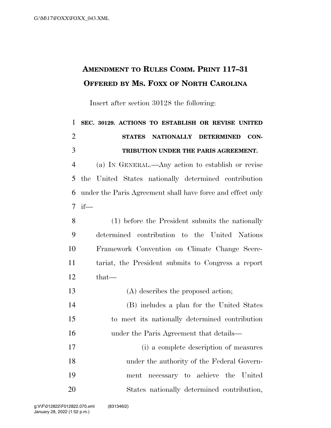## **AMENDMENT TO RULES COMM. PRINT 117–31 OFFERED BY MS. FOXX OF NORTH CAROLINA**

Insert after section 30128 the following:

 **SEC. 30129. ACTIONS TO ESTABLISH OR REVISE UNITED STATES NATIONALLY DETERMINED CON- TRIBUTION UNDER THE PARIS AGREEMENT.**  (a) IN GENERAL.—Any action to establish or revise the United States nationally determined contribution under the Paris Agreement shall have force and effect only if— (1) before the President submits the nationally determined contribution to the United Nations Framework Convention on Climate Change Secre- tariat, the President submits to Congress a report that— (A) describes the proposed action; (B) includes a plan for the United States to meet its nationally determined contribution under the Paris Agreement that details— (i) a complete description of measures under the authority of the Federal Govern- ment necessary to achieve the United States nationally determined contribution,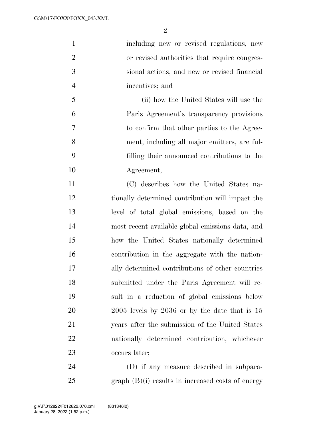| $\mathbf{1}$   | including new or revised regulations, new           |
|----------------|-----------------------------------------------------|
| $\overline{2}$ | or revised authorities that require congres-        |
| 3              | sional actions, and new or revised financial        |
| $\overline{4}$ | incentives; and                                     |
| 5              | (ii) how the United States will use the             |
| 6              | Paris Agreement's transparency provisions           |
| 7              | to confirm that other parties to the Agree-         |
| 8              | ment, including all major emitters, are ful-        |
| 9              | filling their announced contributions to the        |
| 10             | Agreement;                                          |
| 11             | (C) describes how the United States na-             |
| 12             | tionally determined contribution will impact the    |
| 13             | level of total global emissions, based on the       |
| 14             | most recent available global emissions data, and    |
| 15             | how the United States nationally determined         |
| 16             | contribution in the aggregate with the nation-      |
| 17             | ally determined contributions of other countries    |
| 18             | submitted under the Paris Agreement will re-        |
| 19             | sult in a reduction of global emissions below       |
| 20             | $2005$ levels by $2036$ or by the date that is $15$ |
| 21             | years after the submission of the United States     |
| 22             | nationally determined contribution, whichever       |
| 23             | occurs later;                                       |
| 24             | (D) if any measure described in subpara-            |
|                |                                                     |

graph (B)(i) results in increased costs of energy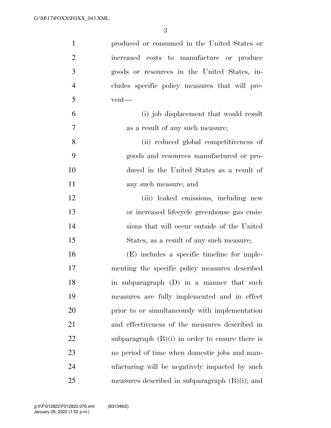| $\mathbf{1}$   | produced or consumed in the United States or      |
|----------------|---------------------------------------------------|
| $\overline{2}$ | increased costs to manufacture or produce         |
| 3              | goods or resources in the United States, in-      |
| $\overline{4}$ | cludes specific policy measures that will pre-    |
| 5              | vent—                                             |
| 6              | (i) job displacement that would result            |
| $\overline{7}$ | as a result of any such measure;                  |
| 8              | (ii) reduced global competitiveness of            |
| 9              | goods and resources manufactured or pro-          |
| 10             | duced in the United States as a result of         |
| 11             | any such measure; and                             |
| 12             | (iii) leaked emissions, including new             |
| 13             | or increased lifecycle greenhouse gas emis-       |
| 14             | sions that will occur outside of the United       |
| 15             | States, as a result of any such measure;          |
| 16             | (E) includes a specific timeline for imple-       |
| 17             | menting the specific policy measures described    |
| 18             | in subparagraph (D) in a manner that such         |
| 19             | measures are fully implemented and in effect      |
| 20             | prior to or simultaneously with implementation    |
| 21             | and effectiveness of the measures described in    |
| 22             | subparagraph $(B)(i)$ in order to ensure there is |
| 23             | no period of time when domestic jobs and man-     |
| 24             | ufacturing will be negatively impacted by such    |
| 25             | measures described in subparagraph $(B)(i)$ ; and |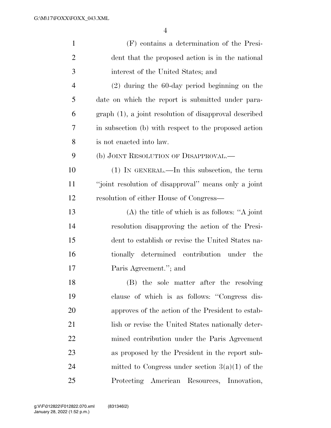| $\mathbf{1}$   | (F) contains a determination of the Presi-             |
|----------------|--------------------------------------------------------|
| $\overline{2}$ | dent that the proposed action is in the national       |
| 3              | interest of the United States; and                     |
| $\overline{4}$ | $(2)$ during the 60-day period beginning on the        |
| 5              | date on which the report is submitted under para-      |
| 6              | graph (1), a joint resolution of disapproval described |
| 7              | in subsection (b) with respect to the proposed action  |
| 8              | is not enacted into law.                               |
| 9              | (b) JOINT RESOLUTION OF DISAPPROVAL.—                  |
| 10             | $(1)$ In GENERAL.—In this subsection, the term         |
| 11             | "joint resolution of disapproval" means only a joint   |
| 12             | resolution of either House of Congress—                |
| 13             | $(A)$ the title of which is as follows: "A joint"      |
| 14             | resolution disapproving the action of the Presi-       |
| 15             | dent to establish or revise the United States na-      |
| 16             | tionally determined contribution under<br>the          |
| 17             | Paris Agreement."; and                                 |
| 18             | (B) the sole matter after the resolving                |
| 19             | clause of which is as follows: "Congress dis-          |
| 20             | approves of the action of the President to estab-      |
| 21             | lish or revise the United States nationally deter-     |
| 22             | mined contribution under the Paris Agreement           |
| 23             | as proposed by the President in the report sub-        |
| 24             | mitted to Congress under section $3(a)(1)$ of the      |
| 25             | Protecting American Resources, Innovation,             |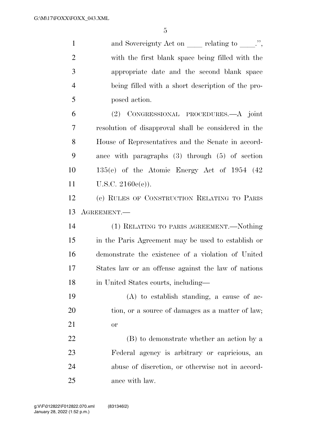1 and Sovereignty Act on relating to  $\ldots$ , with the first blank space being filled with the appropriate date and the second blank space being filled with a short description of the pro-posed action.

 (2) CONGRESSIONAL PROCEDURES.—A joint resolution of disapproval shall be considered in the House of Representatives and the Senate in accord- ance with paragraphs (3) through (5) of section 135(e) of the Atomic Energy Act of 1954 (42 U.S.C. 2160e(e)).

 (c) RULES OF CONSTRUCTION RELATING TO PARIS AGREEMENT.—

 (1) RELATING TO PARIS AGREEMENT.—Nothing in the Paris Agreement may be used to establish or demonstrate the existence of a violation of United States law or an offense against the law of nations in United States courts, including—

 (A) to establish standing, a cause of ac-20 tion, or a source of damages as a matter of law; or

 (B) to demonstrate whether an action by a Federal agency is arbitrary or capricious, an abuse of discretion, or otherwise not in accord-ance with law.